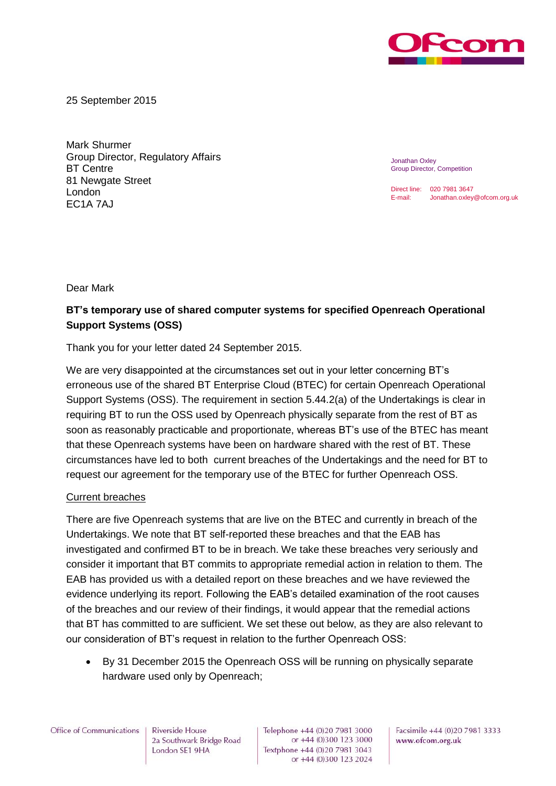

25 September 2015

Mark Shurmer Group Director, Regulatory Affairs BT Centre 81 Newgate Street London EC1A 7AJ

Jonathan Oxley Group Director, Competition

Direct line: 020 7981 3647 E-mail: Jonathan.oxley@ofcom.org.uk

Dear Mark

## **BT's temporary use of shared computer systems for specified Openreach Operational Support Systems (OSS)**

Thank you for your letter dated 24 September 2015.

We are very disappointed at the circumstances set out in your letter concerning BT's erroneous use of the shared BT Enterprise Cloud (BTEC) for certain Openreach Operational Support Systems (OSS). The requirement in section 5.44.2(a) of the Undertakings is clear in requiring BT to run the OSS used by Openreach physically separate from the rest of BT as soon as reasonably practicable and proportionate, whereas BT's use of the BTEC has meant that these Openreach systems have been on hardware shared with the rest of BT. These circumstances have led to both current breaches of the Undertakings and the need for BT to request our agreement for the temporary use of the BTEC for further Openreach OSS.

## Current breaches

There are five Openreach systems that are live on the BTEC and currently in breach of the Undertakings. We note that BT self-reported these breaches and that the EAB has investigated and confirmed BT to be in breach. We take these breaches very seriously and consider it important that BT commits to appropriate remedial action in relation to them. The EAB has provided us with a detailed report on these breaches and we have reviewed the evidence underlying its report. Following the EAB's detailed examination of the root causes of the breaches and our review of their findings, it would appear that the remedial actions that BT has committed to are sufficient. We set these out below, as they are also relevant to our consideration of BT's request in relation to the further Openreach OSS:

 By 31 December 2015 the Openreach OSS will be running on physically separate hardware used only by Openreach;

Office of Communications

Riverside House 2a Southwark Bridge Road London SE1 9HA

Telephone +44 (0)20 7981 3000 or +44 (0)300 123 3000 Textphone +44 (0)20 7981 3043 or +44 (0)300 123 2024 Facsimile +44 (0)20 7981 3333 www.ofcom.org.uk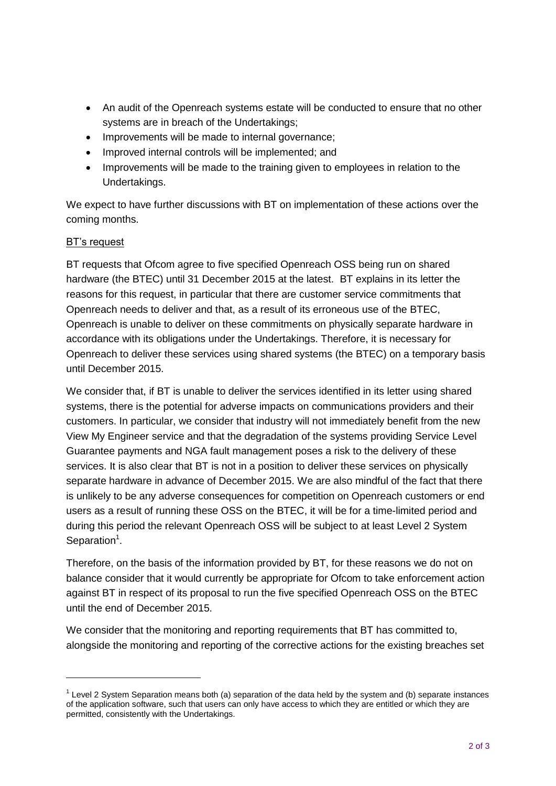- An audit of the Openreach systems estate will be conducted to ensure that no other systems are in breach of the Undertakings;
- Improvements will be made to internal governance;
- Improved internal controls will be implemented; and
- Improvements will be made to the training given to employees in relation to the Undertakings.

We expect to have further discussions with BT on implementation of these actions over the coming months.

## BT's request

BT requests that Ofcom agree to five specified Openreach OSS being run on shared hardware (the BTEC) until 31 December 2015 at the latest. BT explains in its letter the reasons for this request, in particular that there are customer service commitments that Openreach needs to deliver and that, as a result of its erroneous use of the BTEC, Openreach is unable to deliver on these commitments on physically separate hardware in accordance with its obligations under the Undertakings. Therefore, it is necessary for Openreach to deliver these services using shared systems (the BTEC) on a temporary basis until December 2015.

We consider that, if BT is unable to deliver the services identified in its letter using shared systems, there is the potential for adverse impacts on communications providers and their customers. In particular, we consider that industry will not immediately benefit from the new View My Engineer service and that the degradation of the systems providing Service Level Guarantee payments and NGA fault management poses a risk to the delivery of these services. It is also clear that BT is not in a position to deliver these services on physically separate hardware in advance of December 2015. We are also mindful of the fact that there is unlikely to be any adverse consequences for competition on Openreach customers or end users as a result of running these OSS on the BTEC, it will be for a time-limited period and during this period the relevant Openreach OSS will be subject to at least Level 2 System Separation<sup>1</sup>.

Therefore, on the basis of the information provided by BT, for these reasons we do not on balance consider that it would currently be appropriate for Ofcom to take enforcement action against BT in respect of its proposal to run the five specified Openreach OSS on the BTEC until the end of December 2015.

We consider that the monitoring and reporting requirements that BT has committed to, alongside the monitoring and reporting of the corrective actions for the existing breaches set

 $1$  Level 2 System Separation means both (a) separation of the data held by the system and (b) separate instances of the application software, such that users can only have access to which they are entitled or which they are permitted, consistently with the Undertakings.